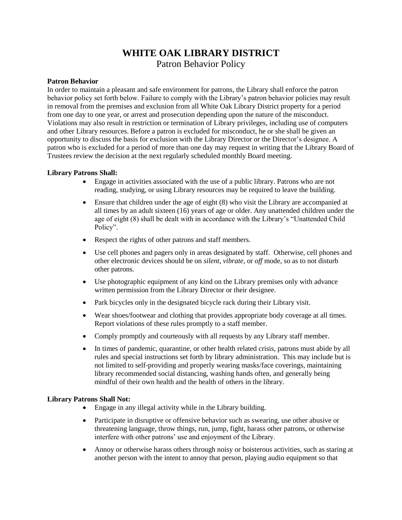# **WHITE OAK LIBRARY DISTRICT** Patron Behavior Policy

## **Patron Behavior**

In order to maintain a pleasant and safe environment for patrons, the Library shall enforce the patron behavior policy set forth below. Failure to comply with the Library's patron behavior policies may result in removal from the premises and exclusion from all White Oak Library District property for a period from one day to one year, or arrest and prosecution depending upon the nature of the misconduct. Violations may also result in restriction or termination of Library privileges, including use of computers and other Library resources. Before a patron is excluded for misconduct, he or she shall be given an opportunity to discuss the basis for exclusion with the Library Director or the Director's designee. A patron who is excluded for a period of more than one day may request in writing that the Library Board of Trustees review the decision at the next regularly scheduled monthly Board meeting.

## **Library Patrons Shall:**

- Engage in activities associated with the use of a public library. Patrons who are not reading, studying, or using Library resources may be required to leave the building.
- Ensure that children under the age of eight (8) who visit the Library are accompanied at all times by an adult sixteen (16) years of age or older. Any unattended children under the age of eight (8) shall be dealt with in accordance with the Library's "Unattended Child Policy".
- Respect the rights of other patrons and staff members.
- Use cell phones and pagers only in areas designated by staff. Otherwise, cell phones and other electronic devices should be on *silent*, *vibrate*, or *off* mode, so as to not disturb other patrons.
- Use photographic equipment of any kind on the Library premises only with advance written permission from the Library Director or their designee.
- Park bicycles only in the designated bicycle rack during their Library visit.
- Wear shoes/footwear and clothing that provides appropriate body coverage at all times. Report violations of these rules promptly to a staff member.
- Comply promptly and courteously with all requests by any Library staff member.
- In times of pandemic, quarantine, or other health related crisis, patrons must abide by all rules and special instructions set forth by library administration. This may include but is not limited to self-providing and properly wearing masks/face coverings, maintaining library recommended social distancing, washing hands often, and generally being mindful of their own health and the health of others in the library.

## **Library Patrons Shall Not:**

- Engage in any illegal activity while in the Library building.
- Participate in disruptive or offensive behavior such as swearing, use other abusive or threatening language, throw things, run, jump, fight, harass other patrons, or otherwise interfere with other patrons' use and enjoyment of the Library.
- Annoy or otherwise harass others through noisy or boisterous activities, such as staring at another person with the intent to annoy that person, playing audio equipment so that